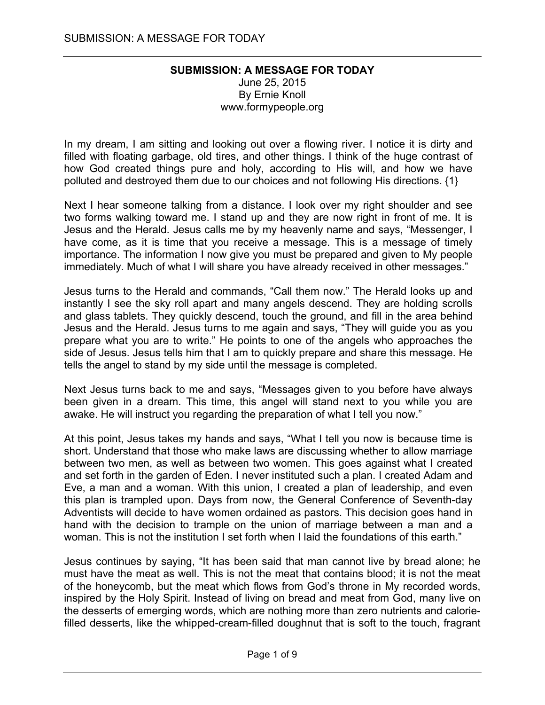## **SUBMISSION: A MESSAGE FOR TODAY** June 25, 2015 By Ernie Knoll www.formypeople.org

In my dream, I am sitting and looking out over a flowing river. I notice it is dirty and filled with floating garbage, old tires, and other things. I think of the huge contrast of how God created things pure and holy, according to His will, and how we have polluted and destroyed them due to our choices and not following His directions. {1}

Next I hear someone talking from a distance. I look over my right shoulder and see two forms walking toward me. I stand up and they are now right in front of me. It is Jesus and the Herald. Jesus calls me by my heavenly name and says, "Messenger, I have come, as it is time that you receive a message. This is a message of timely importance. The information I now give you must be prepared and given to My people immediately. Much of what I will share you have already received in other messages."

Jesus turns to the Herald and commands, "Call them now." The Herald looks up and instantly I see the sky roll apart and many angels descend. They are holding scrolls and glass tablets. They quickly descend, touch the ground, and fill in the area behind Jesus and the Herald. Jesus turns to me again and says, "They will guide you as you prepare what you are to write." He points to one of the angels who approaches the side of Jesus. Jesus tells him that I am to quickly prepare and share this message. He tells the angel to stand by my side until the message is completed.

Next Jesus turns back to me and says, "Messages given to you before have always been given in a dream. This time, this angel will stand next to you while you are awake. He will instruct you regarding the preparation of what I tell you now."

At this point, Jesus takes my hands and says, "What I tell you now is because time is short. Understand that those who make laws are discussing whether to allow marriage between two men, as well as between two women. This goes against what I created and set forth in the garden of Eden. I never instituted such a plan. I created Adam and Eve, a man and a woman. With this union, I created a plan of leadership, and even this plan is trampled upon. Days from now, the General Conference of Seventh-day Adventists will decide to have women ordained as pastors. This decision goes hand in hand with the decision to trample on the union of marriage between a man and a woman. This is not the institution I set forth when I laid the foundations of this earth."

Jesus continues by saying, "It has been said that man cannot live by bread alone; he must have the meat as well. This is not the meat that contains blood; it is not the meat of the honeycomb, but the meat which flows from God's throne in My recorded words, inspired by the Holy Spirit. Instead of living on bread and meat from God, many live on the desserts of emerging words, which are nothing more than zero nutrients and caloriefilled desserts, like the whipped-cream-filled doughnut that is soft to the touch, fragrant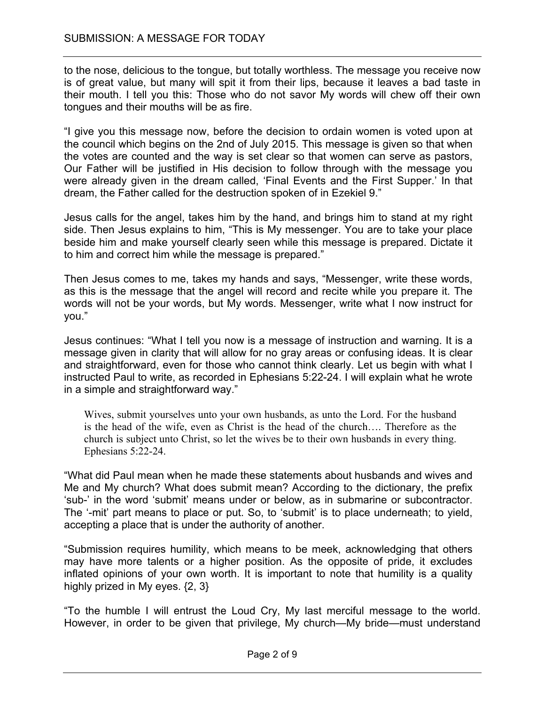to the nose, delicious to the tongue, but totally worthless. The message you receive now is of great value, but many will spit it from their lips, because it leaves a bad taste in their mouth. I tell you this: Those who do not savor My words will chew off their own tongues and their mouths will be as fire.

"I give you this message now, before the decision to ordain women is voted upon at the council which begins on the 2nd of July 2015. This message is given so that when the votes are counted and the way is set clear so that women can serve as pastors, Our Father will be justified in His decision to follow through with the message you were already given in the dream called, 'Final Events and the First Supper.' In that dream, the Father called for the destruction spoken of in Ezekiel 9."

Jesus calls for the angel, takes him by the hand, and brings him to stand at my right side. Then Jesus explains to him, "This is My messenger. You are to take your place beside him and make yourself clearly seen while this message is prepared. Dictate it to him and correct him while the message is prepared."

Then Jesus comes to me, takes my hands and says, "Messenger, write these words, as this is the message that the angel will record and recite while you prepare it. The words will not be your words, but My words. Messenger, write what I now instruct for you."

Jesus continues: "What I tell you now is a message of instruction and warning. It is a message given in clarity that will allow for no gray areas or confusing ideas. It is clear and straightforward, even for those who cannot think clearly. Let us begin with what I instructed Paul to write, as recorded in Ephesians 5:22-24. I will explain what he wrote in a simple and straightforward way."

Wives, submit yourselves unto your own husbands, as unto the Lord. For the husband is the head of the wife, even as Christ is the head of the church…. Therefore as the church is subject unto Christ, so let the wives be to their own husbands in every thing. Ephesians 5:22-24.

"What did Paul mean when he made these statements about husbands and wives and Me and My church? What does submit mean? According to the dictionary, the prefix 'sub-' in the word 'submit' means under or below, as in submarine or subcontractor. The '-mit' part means to place or put. So, to 'submit' is to place underneath; to yield, accepting a place that is under the authority of another.

"Submission requires humility, which means to be meek, acknowledging that others may have more talents or a higher position. As the opposite of pride, it excludes inflated opinions of your own worth. It is important to note that humility is a quality highly prized in My eyes. {2, 3}

"To the humble I will entrust the Loud Cry, My last merciful message to the world. However, in order to be given that privilege, My church—My bride—must understand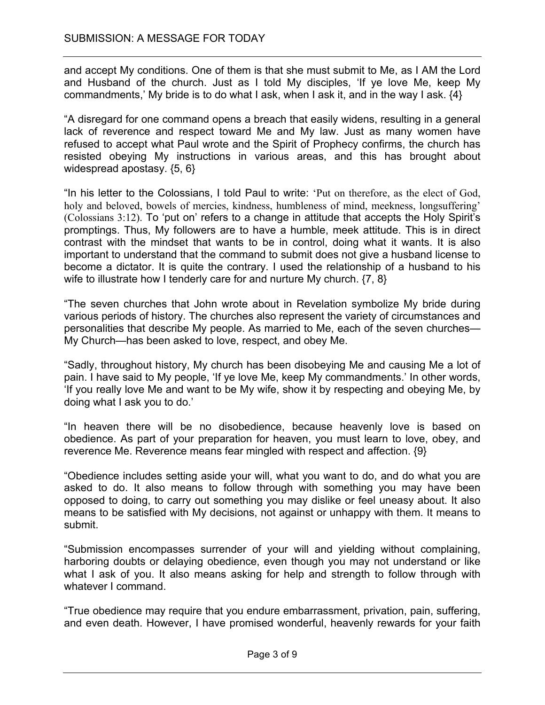and accept My conditions. One of them is that she must submit to Me, as I AM the Lord and Husband of the church. Just as I told My disciples, 'If ye love Me, keep My commandments,' My bride is to do what I ask, when I ask it, and in the way I ask. {4}

"A disregard for one command opens a breach that easily widens, resulting in a general lack of reverence and respect toward Me and My law. Just as many women have refused to accept what Paul wrote and the Spirit of Prophecy confirms, the church has resisted obeying My instructions in various areas, and this has brought about widespread apostasy. {5, 6}

"In his letter to the Colossians, I told Paul to write: 'Put on therefore, as the elect of God, holy and beloved, bowels of mercies, kindness, humbleness of mind, meekness, longsuffering' (Colossians 3:12). To 'put on' refers to a change in attitude that accepts the Holy Spirit's promptings. Thus, My followers are to have a humble, meek attitude. This is in direct contrast with the mindset that wants to be in control, doing what it wants. It is also important to understand that the command to submit does not give a husband license to become a dictator. It is quite the contrary. I used the relationship of a husband to his wife to illustrate how I tenderly care for and nurture My church.  $\{7, 8\}$ 

"The seven churches that John wrote about in Revelation symbolize My bride during various periods of history. The churches also represent the variety of circumstances and personalities that describe My people. As married to Me, each of the seven churches— My Church—has been asked to love, respect, and obey Me.

"Sadly, throughout history, My church has been disobeying Me and causing Me a lot of pain. I have said to My people, 'If ye love Me, keep My commandments.' In other words, 'If you really love Me and want to be My wife, show it by respecting and obeying Me, by doing what I ask you to do.'

"In heaven there will be no disobedience, because heavenly love is based on obedience. As part of your preparation for heaven, you must learn to love, obey, and reverence Me. Reverence means fear mingled with respect and affection. {9}

"Obedience includes setting aside your will, what you want to do, and do what you are asked to do. It also means to follow through with something you may have been opposed to doing, to carry out something you may dislike or feel uneasy about. It also means to be satisfied with My decisions, not against or unhappy with them. It means to submit.

"Submission encompasses surrender of your will and yielding without complaining, harboring doubts or delaying obedience, even though you may not understand or like what I ask of you. It also means asking for help and strength to follow through with whatever I command.

"True obedience may require that you endure embarrassment, privation, pain, suffering, and even death. However, I have promised wonderful, heavenly rewards for your faith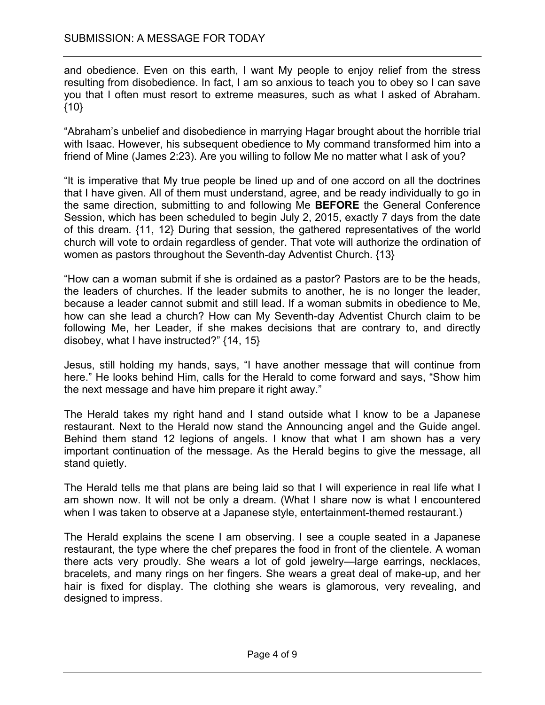and obedience. Even on this earth, I want My people to enjoy relief from the stress resulting from disobedience. In fact, I am so anxious to teach you to obey so I can save you that I often must resort to extreme measures, such as what I asked of Abraham. {10}

"Abraham's unbelief and disobedience in marrying Hagar brought about the horrible trial with Isaac. However, his subsequent obedience to My command transformed him into a friend of Mine (James 2:23). Are you willing to follow Me no matter what I ask of you?

"It is imperative that My true people be lined up and of one accord on all the doctrines that I have given. All of them must understand, agree, and be ready individually to go in the same direction, submitting to and following Me **BEFORE** the General Conference Session, which has been scheduled to begin July 2, 2015, exactly 7 days from the date of this dream. {11, 12} During that session, the gathered representatives of the world church will vote to ordain regardless of gender. That vote will authorize the ordination of women as pastors throughout the Seventh-day Adventist Church. {13}

"How can a woman submit if she is ordained as a pastor? Pastors are to be the heads, the leaders of churches. If the leader submits to another, he is no longer the leader, because a leader cannot submit and still lead. If a woman submits in obedience to Me, how can she lead a church? How can My Seventh-day Adventist Church claim to be following Me, her Leader, if she makes decisions that are contrary to, and directly disobey, what I have instructed?" {14, 15}

Jesus, still holding my hands, says, "I have another message that will continue from here." He looks behind Him, calls for the Herald to come forward and says, "Show him the next message and have him prepare it right away."

The Herald takes my right hand and I stand outside what I know to be a Japanese restaurant. Next to the Herald now stand the Announcing angel and the Guide angel. Behind them stand 12 legions of angels. I know that what I am shown has a very important continuation of the message. As the Herald begins to give the message, all stand quietly.

The Herald tells me that plans are being laid so that I will experience in real life what I am shown now. It will not be only a dream. (What I share now is what I encountered when I was taken to observe at a Japanese style, entertainment-themed restaurant.)

The Herald explains the scene I am observing. I see a couple seated in a Japanese restaurant, the type where the chef prepares the food in front of the clientele. A woman there acts very proudly. She wears a lot of gold jewelry—large earrings, necklaces, bracelets, and many rings on her fingers. She wears a great deal of make-up, and her hair is fixed for display. The clothing she wears is glamorous, very revealing, and designed to impress.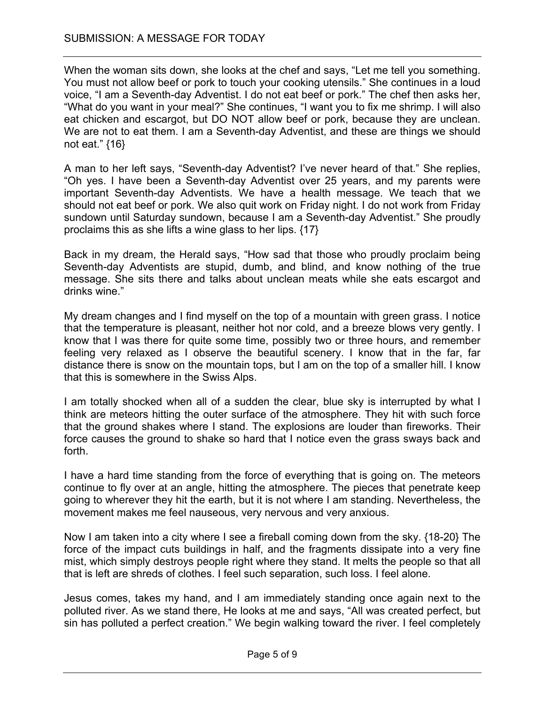When the woman sits down, she looks at the chef and says, "Let me tell you something. You must not allow beef or pork to touch your cooking utensils." She continues in a loud voice, "I am a Seventh-day Adventist. I do not eat beef or pork." The chef then asks her, "What do you want in your meal?" She continues, "I want you to fix me shrimp. I will also eat chicken and escargot, but DO NOT allow beef or pork, because they are unclean. We are not to eat them. I am a Seventh-day Adventist, and these are things we should not eat." {16}

A man to her left says, "Seventh-day Adventist? I've never heard of that." She replies, "Oh yes. I have been a Seventh-day Adventist over 25 years, and my parents were important Seventh-day Adventists. We have a health message. We teach that we should not eat beef or pork. We also quit work on Friday night. I do not work from Friday sundown until Saturday sundown, because I am a Seventh-day Adventist." She proudly proclaims this as she lifts a wine glass to her lips. {17}

Back in my dream, the Herald says, "How sad that those who proudly proclaim being Seventh-day Adventists are stupid, dumb, and blind, and know nothing of the true message. She sits there and talks about unclean meats while she eats escargot and drinks wine."

My dream changes and I find myself on the top of a mountain with green grass. I notice that the temperature is pleasant, neither hot nor cold, and a breeze blows very gently. I know that I was there for quite some time, possibly two or three hours, and remember feeling very relaxed as I observe the beautiful scenery. I know that in the far, far distance there is snow on the mountain tops, but I am on the top of a smaller hill. I know that this is somewhere in the Swiss Alps.

I am totally shocked when all of a sudden the clear, blue sky is interrupted by what I think are meteors hitting the outer surface of the atmosphere. They hit with such force that the ground shakes where I stand. The explosions are louder than fireworks. Their force causes the ground to shake so hard that I notice even the grass sways back and forth.

I have a hard time standing from the force of everything that is going on. The meteors continue to fly over at an angle, hitting the atmosphere. The pieces that penetrate keep going to wherever they hit the earth, but it is not where I am standing. Nevertheless, the movement makes me feel nauseous, very nervous and very anxious.

Now I am taken into a city where I see a fireball coming down from the sky. {18-20} The force of the impact cuts buildings in half, and the fragments dissipate into a very fine mist, which simply destroys people right where they stand. It melts the people so that all that is left are shreds of clothes. I feel such separation, such loss. I feel alone.

Jesus comes, takes my hand, and I am immediately standing once again next to the polluted river. As we stand there, He looks at me and says, "All was created perfect, but sin has polluted a perfect creation." We begin walking toward the river. I feel completely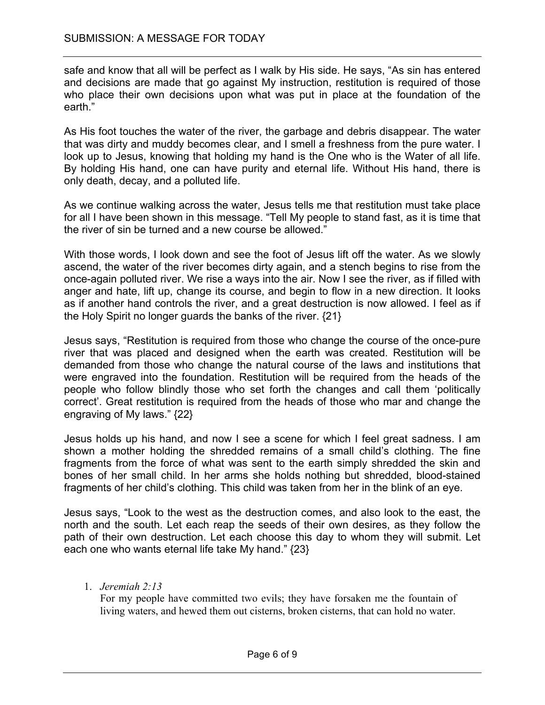safe and know that all will be perfect as I walk by His side. He says, "As sin has entered and decisions are made that go against My instruction, restitution is required of those who place their own decisions upon what was put in place at the foundation of the earth."

As His foot touches the water of the river, the garbage and debris disappear. The water that was dirty and muddy becomes clear, and I smell a freshness from the pure water. I look up to Jesus, knowing that holding my hand is the One who is the Water of all life. By holding His hand, one can have purity and eternal life. Without His hand, there is only death, decay, and a polluted life.

As we continue walking across the water, Jesus tells me that restitution must take place for all I have been shown in this message. "Tell My people to stand fast, as it is time that the river of sin be turned and a new course be allowed."

With those words, I look down and see the foot of Jesus lift off the water. As we slowly ascend, the water of the river becomes dirty again, and a stench begins to rise from the once-again polluted river. We rise a ways into the air. Now I see the river, as if filled with anger and hate, lift up, change its course, and begin to flow in a new direction. It looks as if another hand controls the river, and a great destruction is now allowed. I feel as if the Holy Spirit no longer guards the banks of the river. {21}

Jesus says, "Restitution is required from those who change the course of the once-pure river that was placed and designed when the earth was created. Restitution will be demanded from those who change the natural course of the laws and institutions that were engraved into the foundation. Restitution will be required from the heads of the people who follow blindly those who set forth the changes and call them 'politically correct'. Great restitution is required from the heads of those who mar and change the engraving of My laws." {22}

Jesus holds up his hand, and now I see a scene for which I feel great sadness. I am shown a mother holding the shredded remains of a small child's clothing. The fine fragments from the force of what was sent to the earth simply shredded the skin and bones of her small child. In her arms she holds nothing but shredded, blood-stained fragments of her child's clothing. This child was taken from her in the blink of an eye.

Jesus says, "Look to the west as the destruction comes, and also look to the east, the north and the south. Let each reap the seeds of their own desires, as they follow the path of their own destruction. Let each choose this day to whom they will submit. Let each one who wants eternal life take My hand." {23}

1. *Jeremiah 2:13*

For my people have committed two evils; they have forsaken me the fountain of living waters, and hewed them out cisterns, broken cisterns, that can hold no water.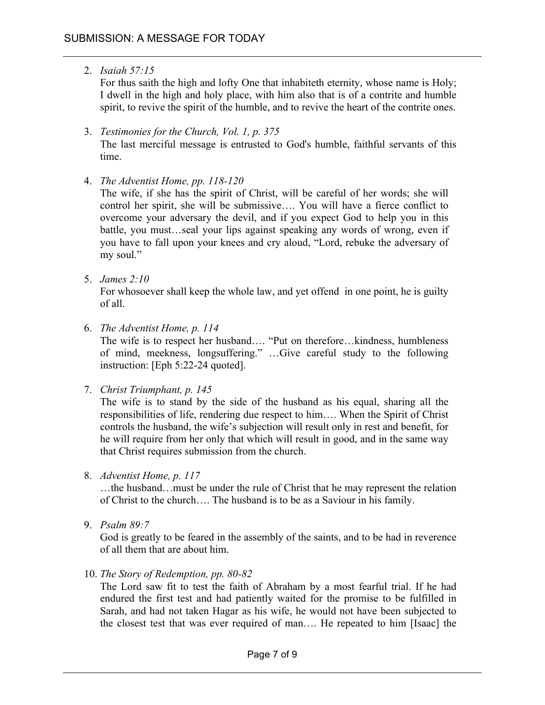2. *Isaiah 57:15*

For thus saith the high and lofty One that inhabiteth eternity, whose name is Holy; I dwell in the high and holy place, with him also that is of a contrite and humble spirit, to revive the spirit of the humble, and to revive the heart of the contrite ones.

- 3. *Testimonies for the Church, Vol. 1, p. 375* The last merciful message is entrusted to God's humble, faithful servants of this time.
- 4. *The Adventist Home, pp. 118-120*

The wife, if she has the spirit of Christ, will be careful of her words; she will control her spirit, she will be submissive…. You will have a fierce conflict to overcome your adversary the devil, and if you expect God to help you in this battle, you must…seal your lips against speaking any words of wrong, even if you have to fall upon your knees and cry aloud, "Lord, rebuke the adversary of my soul."

5. *James 2:10*

For whosoever shall keep the whole law, and yet offend in one point, he is guilty of all.

6. *The Adventist Home, p. 114*

The wife is to respect her husband…. "Put on therefore…kindness, humbleness of mind, meekness, longsuffering." …Give careful study to the following instruction: [Eph 5:22-24 quoted].

7. *Christ Triumphant, p. 145*

The wife is to stand by the side of the husband as his equal, sharing all the responsibilities of life, rendering due respect to him…. When the Spirit of Christ controls the husband, the wife's subjection will result only in rest and benefit, for he will require from her only that which will result in good, and in the same way that Christ requires submission from the church.

8. *Adventist Home, p. 117*

…the husband…must be under the rule of Christ that he may represent the relation of Christ to the church…. The husband is to be as a Saviour in his family.

9. *Psalm 89:7*

God is greatly to be feared in the assembly of the saints, and to be had in reverence of all them that are about him.

10. *The Story of Redemption, pp. 80-82*

The Lord saw fit to test the faith of Abraham by a most fearful trial. If he had endured the first test and had patiently waited for the promise to be fulfilled in Sarah, and had not taken Hagar as his wife, he would not have been subjected to the closest test that was ever required of man…. He repeated to him [Isaac] the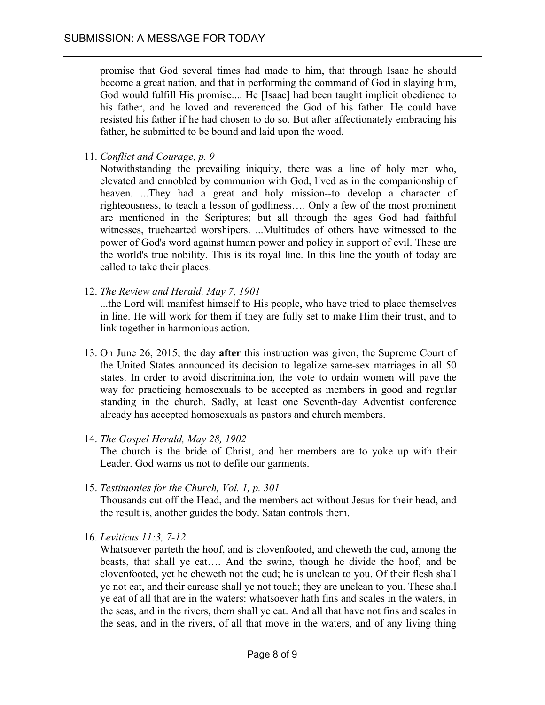promise that God several times had made to him, that through Isaac he should become a great nation, and that in performing the command of God in slaying him, God would fulfill His promise.... He [Isaac] had been taught implicit obedience to his father, and he loved and reverenced the God of his father. He could have resisted his father if he had chosen to do so. But after affectionately embracing his father, he submitted to be bound and laid upon the wood.

11. *Conflict and Courage, p. 9*

Notwithstanding the prevailing iniquity, there was a line of holy men who, elevated and ennobled by communion with God, lived as in the companionship of heaven. ...They had a great and holy mission--to develop a character of righteousness, to teach a lesson of godliness…. Only a few of the most prominent are mentioned in the Scriptures; but all through the ages God had faithful witnesses, truehearted worshipers. ...Multitudes of others have witnessed to the power of God's word against human power and policy in support of evil. These are the world's true nobility. This is its royal line. In this line the youth of today are called to take their places.

12. *The Review and Herald, May 7, 1901*

...the Lord will manifest himself to His people, who have tried to place themselves in line. He will work for them if they are fully set to make Him their trust, and to link together in harmonious action.

- 13. On June 26, 2015, the day **after** this instruction was given, the Supreme Court of the United States announced its decision to legalize same-sex marriages in all 50 states. In order to avoid discrimination, the vote to ordain women will pave the way for practicing homosexuals to be accepted as members in good and regular standing in the church. Sadly, at least one Seventh-day Adventist conference already has accepted homosexuals as pastors and church members.
- 14. *The Gospel Herald, May 28, 1902*

The church is the bride of Christ, and her members are to yoke up with their Leader. God warns us not to defile our garments.

15. *Testimonies for the Church, Vol. 1, p. 301*

Thousands cut off the Head, and the members act without Jesus for their head, and the result is, another guides the body. Satan controls them.

16. *Leviticus 11:3, 7-12*

Whatsoever parteth the hoof, and is clovenfooted, and cheweth the cud, among the beasts, that shall ye eat…. And the swine, though he divide the hoof, and be clovenfooted, yet he cheweth not the cud; he is unclean to you. Of their flesh shall ye not eat, and their carcase shall ye not touch; they are unclean to you. These shall ye eat of all that are in the waters: whatsoever hath fins and scales in the waters, in the seas, and in the rivers, them shall ye eat. And all that have not fins and scales in the seas, and in the rivers, of all that move in the waters, and of any living thing